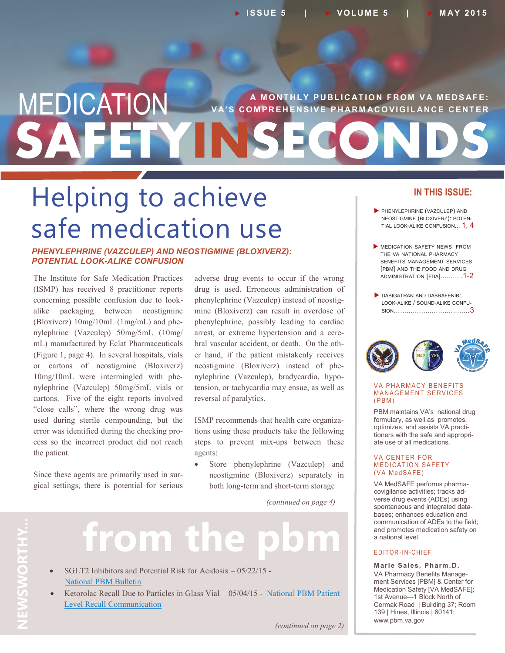## **SAFETYINSECONDS MEDICATION** VA'S COMPREHENSIVE PHARMACOVIGILANCE CENTER **V A' S C O M P R E H E N S I V E P H AR M AC O V I G I L AN C E C E N T E R**

## Helping to achieve safe medication use

#### *PHENYLEPHRINE (VAZCULEP) AND NEOSTIGMINE (BLOXIVERZ): POTENTIAL LOOK-ALIKE CONFUSION*

The Institute for Safe Medication Practices (ISMP) has received 8 practitioner reports concerning possible confusion due to lookalike packaging between neostigmine (Bloxiverz) 10mg/10mL (1mg/mL) and phenylephrine (Vazculep) 50mg/5mL (10mg/ mL) manufactured by Eclat Pharmaceuticals (Figure 1, page 4). In several hospitals, vials or cartons of neostigmine (Bloxiverz) 10mg/10mL were intermingled with phenylephrine (Vazculep) 50mg/5mL vials or cartons. Five of the eight reports involved "close calls", where the wrong drug was used during sterile compounding, but the error was identified during the checking process so the incorrect product did not reach the patient.

Since these agents are primarily used in surgical settings, there is potential for serious adverse drug events to occur if the wrong drug is used. Erroneous administration of phenylephrine (Vazculep) instead of neostigmine (Bloxiverz) can result in overdose of phenylephrine, possibly leading to cardiac arrest, or extreme hypertension and a cerebral vascular accident, or death. On the other hand, if the patient mistakenly receives neostigmine (Bloxiverz) instead of phenylephrine (Vazculep), bradycardia, hypotension, or tachycardia may ensue, as well as reversal of paralytics.

ISMP recommends that health care organizations using these products take the following steps to prevent mix-ups between these agents:

 Store phenylephrine (Vazculep) and neostigmine (Bloxiverz) separately in both long-term and short-term storage

*(continued on page 4)*

# **NEWSWORTHY...** NEWSWORTHY...

## from the

- SGLT2 Inhibitors and Potential Risk for Acidosis 05/22/15 -[National PBM Bulletin](http://www.pbm.va.gov/PBM/vacenterformedicationsafety/nationalpbmbulletin/SGLT2_Inhibitors_and_Potential_Risk_for_Acidosis_NATIONAL_PBM_BULLETIN.pdf)
- Ketorolac Recall Due to Particles in Glass Vial  $-05/04/15$  National PBM Patient [Level Recall Communication](http://www.pbm.va.gov/PBM/vacenterformedicationsafety/nationalpbmcommunication/Ketorolac_Recall_Due_to_Particles_in_Glass_Vial_National_PBM_Patient_Lev.pdf)

#### **IN THIS ISSUE:**

- PHENYLEPHRINE (VAZCULEP) AND NEOSTIGMINE (BLOXIVERZ): POTEN-TIAL LOOK-ALIKE CONFUSION... 1, 4
- **MEDICATION SAFETY NEWS FROM** THE VA NATIONAL PHARMACY BENEFITS MANAGEMENT SERVICES [PBM] AND THE FOOD AND DRUG ADMINISTRATION [FDA]..……. .1-2
- DABIGATRAN AND DABRAFENIB: LOOK-ALIKE / SOUND-ALIKE CONFU-SION………………………………3



#### **VA PHARMACY BENEFITS MANAGEMENT SERVICES**  $(PBM)$

PBM maintains VA's national drug formulary, as well as promotes, optimizes, and assists VA practitioners with the safe and appropriate use of all medications.

#### **VA CENTER FOR MEDICATION SAFETY** (VA MedSAFE)

VA MedSAFE performs pharmacovigilance activities; tracks adverse drug events (ADEs) using spontaneous and integrated databases; enhances education and communication of ADEs to the field; and promotes medication safety on a national level.

#### E DITOR-IN-CHIEF

**Marie Sales, Pharm.D.** VA Pharmacy Benefits Management Services [PBM] & Center for Medication Safety [VA MedSAFE]; 1st Avenue—1 Block North of Cermak Road | Building 37; Room 139 | Hines, Illinois | 60141; www.pbm.va.gov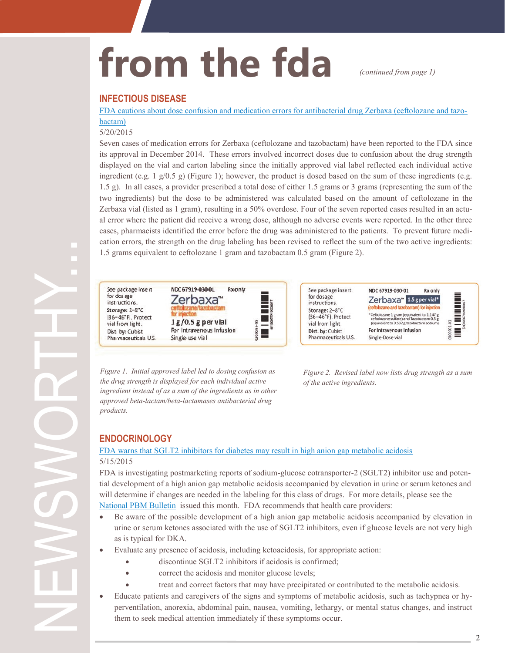## from the fda *continued from page 1)*

#### **INFECTIOUS DISEASE**

[FDA cautions about dose confusion and medication errors for antibacterial drug Zerbaxa \(ceftolozane and tazo](http://www.fda.gov/Drugs/DrugSafety/ucm445919.htm)[bactam\)](http://www.fda.gov/Drugs/DrugSafety/ucm445919.htm)

#### 5/20/2015

Seven cases of medication errors for Zerbaxa (ceftolozane and tazobactam) have been reported to the FDA since its approval in December 2014. These errors involved incorrect doses due to confusion about the drug strength displayed on the vial and carton labeling since the initially approved vial label reflected each individual active ingredient (e.g. 1  $g/0.5 g$ ) (Figure 1); however, the product is dosed based on the sum of these ingredients (e.g. 1.5 g). In all cases, a provider prescribed a total dose of either 1.5 grams or 3 grams (representing the sum of the two ingredients) but the dose to be administered was calculated based on the amount of ceftolozane in the Zerbaxa vial (listed as 1 gram), resulting in a 50% overdose. Four of the seven reported cases resulted in an actual error where the patient did receive a wrong dose, although no adverse events were reported. In the other three cases, pharmacists identified the error before the drug was administered to the patients. To prevent future medication errors, the strength on the drug labeling has been revised to reflect the sum of the two active ingredients: 1.5 grams equivalent to ceftolozane 1 gram and tazobactam 0.5 gram (Figure 2).

See package in for dosage instructions. Storage: 2-8" 136-46°FJ. Pro vial from light Dist. by: Cubist Pharmaceutica

| NDC 67919-030-01 | Rxonly |                                                                         |
|------------------|--------|-------------------------------------------------------------------------|
|                  |        |                                                                         |
|                  |        |                                                                         |
|                  |        |                                                                         |
|                  |        |                                                                         |
|                  |        | 8                                                                       |
| Single-use vial  |        |                                                                         |
|                  |        | Zerbaxa <sup>**</sup><br>$1g/0.5g$ per vial<br>For Intravenous Infusion |

See package insert for dosage instructions. Storage: 2-8°C (36-46°F). Protect vial from light. Dist. by: Cubist Pharmaceuticals U.S.



*Figure 1. Initial approved label led to dosing confusion as the drug strength is displayed for each individual active ingredient instead of as a sum of the ingredients as in other approved beta-lactam/beta-lactamases antibacterial drug products.* 

*Figure 2. Revised label now lists drug strength as a sum of the active ingredients.* 

#### **ENDOCRINOLOGY**

#### [FDA warns that SGLT2 inhibitors for diabetes may result in high anion gap metabolic acidosis](http://www.fda.gov/Drugs/DrugSafety/ucm446845.htm)  5/15/2015

FDA is investigating postmarketing reports of sodium-glucose cotransporter-2 (SGLT2) inhibitor use and potential development of a high anion gap metabolic acidosis accompanied by elevation in urine or serum ketones and will determine if changes are needed in the labeling for this class of drugs. For more details, please see the [National PBM Bulletin](http://www.pbm.va.gov/PBM/vacenterformedicationsafety/nationalpbmbulletin/SGLT2_Inhibitors_and_Potential_Risk_for_Acidosis_NATIONAL_PBM_BULLETIN.pdf) issued this month. FDA recommends that health care providers:

- Be aware of the possible development of a high anion gap metabolic acidosis accompanied by elevation in urine or serum ketones associated with the use of SGLT2 inhibitors, even if glucose levels are not very high as is typical for DKA.
- Evaluate any presence of acidosis, including ketoacidosis, for appropriate action:
	- discontinue SGLT2 inhibitors if acidosis is confirmed;
	- correct the acidosis and monitor glucose levels;
	- treat and correct factors that may have precipitated or contributed to the metabolic acidosis.
- Educate patients and caregivers of the signs and symptoms of metabolic acidosis, such as tachypnea or hyperventilation, anorexia, abdominal pain, nausea, vomiting, lethargy, or mental status changes, and instruct them to seek medical attention immediately if these symptoms occur.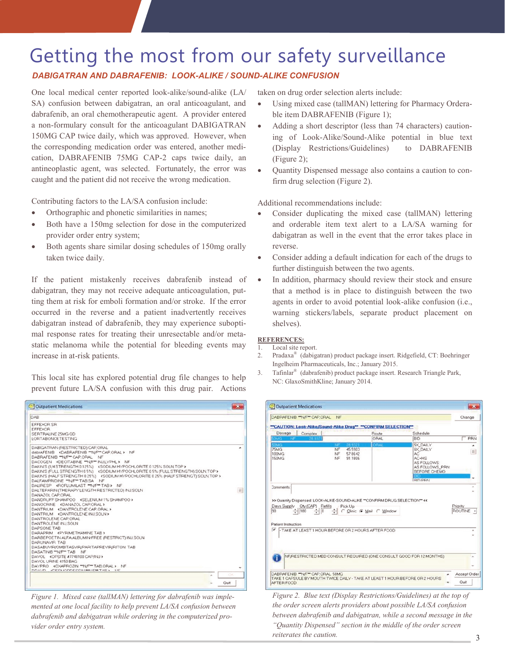### Getting the most from our safety surveillance

#### *DABIGATRAN AND DABRAFENIB: LOOK-ALIKE / SOUND-ALIKE CONFUSION*

One local medical center reported look-alike/sound-alike (LA/ SA) confusion between dabigatran, an oral anticoagulant, and dabrafenib, an oral chemotherapeutic agent. A provider entered a non-formulary consult for the anticoagulant DABIGATRAN 150MG CAP twice daily, which was approved. However, when the corresponding medication order was entered, another medication, DABRAFENIB 75MG CAP-2 caps twice daily, an antineoplastic agent, was selected. Fortunately, the error was caught and the patient did not receive the wrong medication.

Contributing factors to the LA/SA confusion include:

- Orthographic and phonetic similarities in names;
- Both have a 150mg selection for dose in the computerized provider order entry system;
- Both agents share similar dosing schedules of 150mg orally taken twice daily.

If the patient mistakenly receives dabrafenib instead of dabigatran, they may not receive adequate anticoagulation, putting them at risk for emboli formation and/or stroke. If the error occurred in the reverse and a patient inadvertently receives dabigatran instead of dabrafenib, they may experience suboptimal response rates for treating their unresectable and/or metastatic melanoma while the potential for bleeding events may increase in at-risk patients.

This local site has explored potential drug file changes to help prevent future LA/SA confusion with this drug pair. Actions

| Outpatient Medications                                                                                                                                                                                                                                                                                                                                                                                                                                                                                                                                                                                                                           |      |
|--------------------------------------------------------------------------------------------------------------------------------------------------------------------------------------------------------------------------------------------------------------------------------------------------------------------------------------------------------------------------------------------------------------------------------------------------------------------------------------------------------------------------------------------------------------------------------------------------------------------------------------------------|------|
| DAB                                                                                                                                                                                                                                                                                                                                                                                                                                                                                                                                                                                                                                              |      |
| EFFEXOR SR<br><b>EFFEXOR</b><br>SERTRALINE 25MG OD<br>LORTABONCE TESTING                                                                                                                                                                                                                                                                                                                                                                                                                                                                                                                                                                         |      |
| DABIGATRAN (RESTRICTED) CAP ORAL<br>dabtAFENIB <dabrafenib ""n="" cap.oral="" f"=""> NF<br/>DABRAFENIB ""N/F" CAP ORAL NF<br/>DACOGEN <decitabine "n="" f"="" injlyphl=""> NF<br/>DAKIN'S (1/4 STRENGTH 0 125%) <sodium 0="" 125%="" hypochlorite="" soln="" top=""><br/>DAKIN'S (FULL STRENGTH 0.5%) <sodium (full="" 0.5%="" hypochlorite="" soln="" strength)="" top=""><br/>DAKIN'S (HALF STRENGTH 025%) (SODIUM HYPOCHLORITE 025% (HALF STRENGT) SOLN TOP&gt;<br/>DALFAMPRIDINE ""N/F" TAB SA NF</sodium></sodium></decitabine></dabrafenib>                                                                                                |      |
| DALIRESP «ROFLUMILAST ""N/F" TAB> NF<br>DALTEPARIN (THERAPY LENGTH RESTRICTED) INJ.SOLN.<br>DANAZOL CAP ORAL<br>DANDRUFF SHAMPOO <selenium 1%="" shampoo=""><br/>DANOCRINE <danazol cap="" oral=""><br/>DANTRIUM «DANTROLENE CAP ORAL»<br/>DANTRIUM «DANTROLENE INJ.SOLN»<br/>DANTROLENE CAP ORAL<br/><b>DANTROLENE IN LSOLN</b><br/>DAPSONE TAB<br/>DARAPRIM «PYRIMETHAMINE TAB»<br/>DARBEPOETIN ALFA ALBUMIN-FREE (RESTRICT) INJ.SOLN.<br/><b>DARUNAVIR TAB</b><br/>DASABUVIR/OMBITASVIR/PARITAPREVIR/RITON TAB<br/>DASATINIB "N/F" TAB NF<br/>DAVOL <opsite #7740100="" cap="" inj=""><br/>DAVOL URINE 4150 BAG</opsite></danazol></selenium> | E    |
| DAYPRO <gxaprozin ""n="" f"="" taboral=""> NF<br/><b>NNAVA ANDOIANNOCODIAMICATAD . NO</b></gxaprozin>                                                                                                                                                                                                                                                                                                                                                                                                                                                                                                                                            |      |
|                                                                                                                                                                                                                                                                                                                                                                                                                                                                                                                                                                                                                                                  | DK.  |
|                                                                                                                                                                                                                                                                                                                                                                                                                                                                                                                                                                                                                                                  | Quit |

*Figure 1. Mixed case (tallMAN) lettering for dabrafenib was implemented at one local facility to help prevent LA/SA confusion between dabrafenib and dabigatran while ordering in the computerized provider order entry system.*

taken on drug order selection alerts include:

- Using mixed case (tallMAN) lettering for Pharmacy Orderable item DABRAFENIB (Figure 1);
- Adding a short descriptor (less than 74 characters) cautioning of Look-Alike/Sound-Alike potential in blue text (Display Restrictions/Guidelines) to DABRAFENIB (Figure 2);
- Quantity Dispensed message also contains a caution to confirm drug selection (Figure 2).

Additional recommendations include:

- Consider duplicating the mixed case (tallMAN) lettering and orderable item text alert to a LA/SA warning for dabigatran as well in the event that the error takes place in reverse.
- Consider adding a default indication for each of the drugs to further distinguish between the two agents.
- In addition, pharmacy should review their stock and ensure that a method is in place to distinguish between the two agents in order to avoid potential look-alike confusion (i.e., warning stickers/labels, separate product placement on shelves).

#### **REFERENCES:**

- 1. Local site report.
- 2. Pradaxa® (dabigatran) product package insert. Ridgefield, CT: Boehringer Ingelheim Pharmaceuticals, Inc.; January 2015.
- 3. Tafinlar® (dabrafenib) product package insert. Research Triangle Park, NC: GlaxoSmithKline; January 2014.

| DABRAFENIB ""N/F" CAP ORAL                                                                                               | NF                                                                                                           |                          |                 | Change               |
|--------------------------------------------------------------------------------------------------------------------------|--------------------------------------------------------------------------------------------------------------|--------------------------|-----------------|----------------------|
|                                                                                                                          | "CAUTION: Look-Alike/Sound-Alike Drug" "CONFIRM SELECTION"                                                   |                          |                 |                      |
| Dosage                                                                                                                   | Complex                                                                                                      | Route                    | Schedule        |                      |
| <b>IMG</b>                                                                                                               |                                                                                                              | <b>ORAL</b>              | <b>BID</b>      | PRN                  |
| <b>SOME</b>                                                                                                              | <b>INF</b><br>28.932T                                                                                        | DRAI                     | <b>5X DAILY</b> | ۰                    |
| 75MG                                                                                                                     | 45.5903<br>NF                                                                                                |                          | <b>6X DAILY</b> | E                    |
| 100MG<br>150MG                                                                                                           | NF<br>57.8642<br>NF<br>91.1806                                                                               |                          | AC.<br>AC+HS    |                      |
|                                                                                                                          |                                                                                                              |                          | AS FOLLOWS:     |                      |
|                                                                                                                          |                                                                                                              |                          | AS FOLLOWS_PRN  |                      |
|                                                                                                                          |                                                                                                              |                          | BEFORE CHEMO    |                      |
|                                                                                                                          |                                                                                                              |                          | <b>RID PRN</b>  |                      |
|                                                                                                                          |                                                                                                              |                          |                 |                      |
| $-180$                                                                                                                   | >> Quantity Dispensed: LOOK-ALIKE-SOUND-ALIKE ** CONFIRM DRUG SELECTION** <<<br>- Pick Up<br>$\div$ 0 $\div$ | C Clinic C Mail C Window |                 | Priority             |
|                                                                                                                          |                                                                                                              |                          |                 |                      |
|                                                                                                                          | THE AT LEAST 1 HOUR BEFORE OR 2 HOURS AFTER FOOD                                                             |                          |                 | ROUTINE .            |
|                                                                                                                          |                                                                                                              |                          |                 |                      |
|                                                                                                                          |                                                                                                              |                          |                 |                      |
|                                                                                                                          |                                                                                                              |                          |                 |                      |
|                                                                                                                          | NF/RESTRICTED MED CONSULT REQUIRED (ONE CONSULT GOOD FOR 12 MONTHS)                                          |                          |                 |                      |
|                                                                                                                          |                                                                                                              |                          |                 |                      |
|                                                                                                                          |                                                                                                              |                          |                 |                      |
| Comments:<br>Days Supply Oty (CAP) Refills<br>90<br>Patient Instruction<br>DABRAFENIB ""N/F" CAP ORAL 50MG<br>AFTER FOOD | TAKE 1 CAPSULE BY MOUTH TWICE DAILY - TAKE AT LEAST 1 HOUR BEFORE OR 2 HOURS.                                |                          |                 | Accept Order<br>Quit |

*Figure 2. Blue text (Display Restrictions/Guidelines) at the top of the order screen alerts providers about possible LA/SA confusion between dabrafenib and dabigatran, while a second message in the "Quantity Dispensed" section in the middle of the order screen reiterates the caution.*